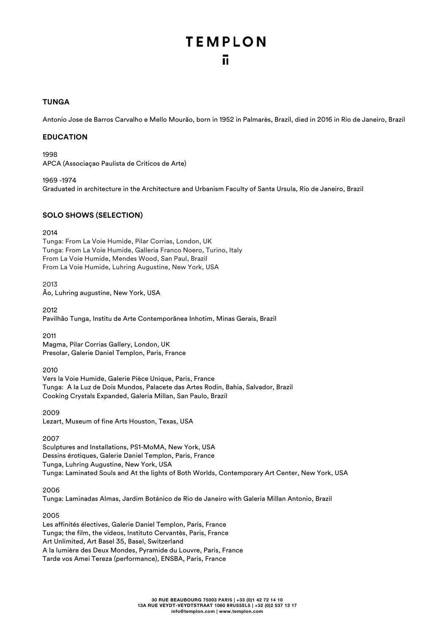## **TUNGA**

Antonio Jose de Barros Carvalho e Mello Mourão, born in 1952 in Palmarès, Brazil, died in 2016 in Rio de Janeiro, Brazil

### **EDUCATION**

1998 APCA (Associaçao Paulista de Criticos de Arte)

1969 -1974 Graduated in architecture in the Architecture and Urbanism Faculty of Santa Ursula, Rio de Janeiro, Brazil

## **SOLO SHOWS (SELECTION)**

#### 2014

Tunga: From La Voie Humide, Pilar Corrias, London, UK Tunga: From La Voie Humide, Galleria Franco Noero, Turino, Italy From La Voie Humide, Mendes Wood, San Paul, Brazil From La Voie Humide, Luhring Augustine, New York, USA

2013 Ão, Luhring augustine, New York, USA

2012 Pavilhão Tunga, Institu de Arte Contemporãnea Inhotim, Minas Gerais, Brazil

2011

Magma, Pilar Corrias Gallery, London, UK Presolar, Galerie Daniel Templon, Paris, France

2010

Vers la Voie Humide, Galerie Pièce Unique, Paris, France Tunga: A la Luz de Dois Mundos, Palacete das Artes Rodin, Bahia, Salvador, Brazil Cooking Crystals Expanded, Galeria Millan, San Paulo, Brazil

2009 Lezart, Museum of fine Arts Houston, Texas, USA

2007

Sculptures and Installations, PS1-MoMA, New York, USA Dessins érotiques, Galerie Daniel Templon, Paris, France Tunga, Luhring Augustine, New York, USA Tunga: Laminated Souls and At the lights of Both Worlds, Contemporary Art Center, New York, USA

2006

Tunga: Laminadas Almas, Jardim Botánico de Rio de Janeiro with Galeria Millan Antonio, Brazil

2005

Les affinités électives, Galerie Daniel Templon, Paris, France Tunga; the film, the videos, Instituto Cervantès, Paris, France Art Unlimited, Art Basel 35, Basel, Switzerland A la lumière des Deux Mondes, Pyramide du Louvre, Paris, France Tarde vos Amei Tereza (performance), ENSBA, Paris, France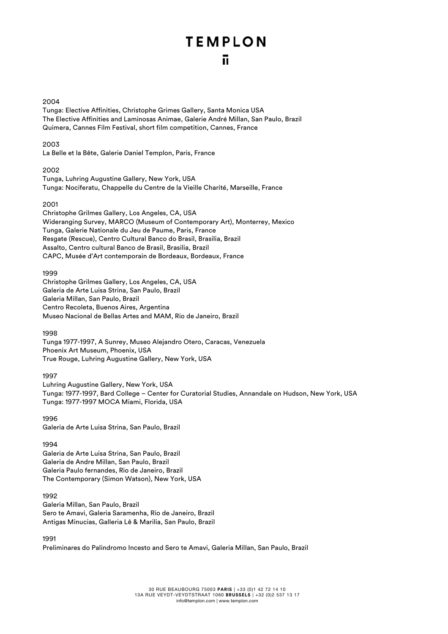#### 2004

Tunga: Elective Affinities, Christophe Grimes Gallery, Santa Monica USA The Elective Affinities and Laminosas Animae, Galerie André Millan, San Paulo, Brazil Quimera, Cannes Film Festival, short film competition, Cannes, France

## 2003

La Belle et la Bête, Galerie Daniel Templon, Paris, France

#### 2002

Tunga, Luhring Augustine Gallery, New York, USA Tunga: Nociferatu, Chappelle du Centre de la Vieille Charité, Marseille, France

#### 2001

Christophe Grilmes Gallery, Los Angeles, CA, USA Wideranging Survey, MARCO (Museum of Contemporary Art), Monterrey, Mexico Tunga, Galerie Nationale du Jeu de Paume, Paris, France Resgate (Rescue), Centro Cultural Banco do Brasil, Brasilia, Brazil Assalto, Centro cultural Banco de Brasil, Brasilia, Brazil CAPC, Musée d'Art contemporain de Bordeaux, Bordeaux, France

#### 1999

Christophe Grilmes Gallery, Los Angeles, CA, USA Galeria de Arte Luisa Strina, San Paulo, Brazil Galeria Millan, San Paulo, Brazil Centro Recoleta, Buenos Aires, Argentina Museo Nacional de Bellas Artes and MAM, Rio de Janeiro, Brazil

### 1998

Tunga 1977-1997, A Sunrey, Museo Alejandro Otero, Caracas, Venezuela Phoenix Art Museum, Phoenix, USA True Rouge, Luhring Augustine Gallery, New York, USA

### 1997

Luhring Augustine Gallery, New York, USA Tunga: 1977-1997, Bard College – Center for Curatorial Studies, Annandale on Hudson, New York, USA Tunga: 1977-1997 MOCA Miami, Florida, USA

## 1996

Galeria de Arte Luisa Strina, San Paulo, Brazil

### 1994

Galeria de Arte Luisa Strina, San Paulo, Brazil Galeria de Andre Millan, San Paulo, Brazil Galeria Paulo fernandes, Rio de Janeiro, Brazil The Contemporary (Simon Watson), New York, USA

### 1992

Galeria Millan, San Paulo, Brazil Sero te Amavi, Galeria Saramenha, Rio de Janeiro, Brazil Antigas Minucias, Galleria Lê & Marilia, San Paulo, Brazil

### 1991

Preliminares do Palindromo Incesto and Sero te Amavi, Galeria Millan, San Paulo, Brazil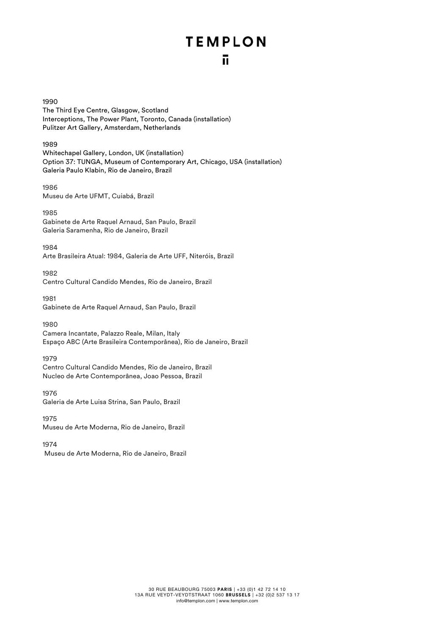## **TEMPLON** ñ

1990 The Third Eye Centre, Glasgow, Scotland Interceptions, The Power Plant, Toronto, Canada (installation) Pulitzer Art Gallery, Amsterdam, Netherlands

1989 Whitechapel Gallery, London, UK (installation) Option 37: TUNGA, Museum of Contemporary Art, Chicago, USA (installation) Galeria Paulo Klabin, Rio de Janeiro, Brazil

1986 Museu de Arte UFMT, Cuiabá, Brazil

1985 Gabinete de Arte Raquel Arnaud, San Paulo, Brazil Galeria Saramenha, Rio de Janeiro, Brazil

1984 Arte Brasileira Atual: 1984, Galeria de Arte UFF, Niteróis, Brazil

1982 Centro Cultural Candido Mendes, Rio de Janeiro, Brazil

1981 Gabinete de Arte Raquel Arnaud, San Paulo, Brazil

1980 Camera Incantate, Palazzo Reale, Milan, Italy

Espaço ABC (Arte Brasileira Contemporânea), Rio de Janeiro, Brazil

1979 Centro Cultural Candido Mendes, Rio de Janeiro, Brazil Nucleo de Arte Contemporânea, Joao Pessoa, Brazil

1976 Galeria de Arte Luisa Strina, San Paulo, Brazil

1975 Museu de Arte Moderna, Rio de Janeiro, Brazil

1974

Museu de Arte Moderna, Rio de Janeiro, Brazil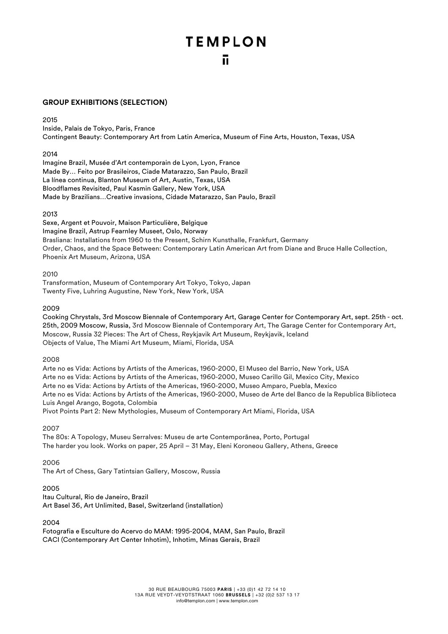## **GROUP EXHIBITIONS (SELECTION)**

### 2015

Inside, Palais de Tokyo, Paris, France Contingent Beauty: Contemporary Art from Latin America, Museum of Fine Arts, Houston, Texas, USA

### 2014

Imagine Brazil, Musée d'Art contemporain de Lyon, Lyon, France Made By… Feito por Brasileiros, Ciade Matarazzo, San Paulo, Brazil La línea continua, Blanton Museum of Art, Austin, Texas, USA Bloodflames Revisited, Paul Kasmin Gallery, New York, USA Made by Brazilians…Creative invasions, Cidade Matarazzo, San Paulo, Brazil

## 2013

Sexe, Argent et Pouvoir, Maison Particulière, Belgique Imagine Brazil, Astrup Fearnley Museet, Oslo, Norway Brasliana: Installations from 1960 to the Present, Schirn Kunsthalle, Frankfurt, Germany Order, Chaos, and the Space Between: Contemporary Latin American Art from Diane and Bruce Halle Collection, Phoenix Art Museum, Arizona, USA

### 2010

Transformation, Museum of Contemporary Art Tokyo, Tokyo, Japan Twenty Five, Luhring Augustine, New York, New York, USA

## 2009

Cooking Chrystals, 3rd Moscow Biennale of Contemporary Art, Garage Center for Contemporary Art, sept. 25th - oct. 25th, 2009 Moscow, Russia, 3rd Moscow Biennale of Contemporary Art, The Garage Center for Contemporary Art, Moscow, Russia 32 Pieces: The Art of Chess, Reykjavik Art Museum, Reykjavik, Iceland Objects of Value, The Miami Art Museum, Miami, Florida, USA

## 2008

Arte no es Vida: Actions by Artists of the Americas, 1960-2000, El Museo del Barrio, New York, USA Arte no es Vida: Actions by Artists of the Americas, 1960-2000, Museo Carillo Gil, Mexico City, Mexico Arte no es Vida: Actions by Artists of the Americas, 1960-2000, Museo Amparo, Puebla, Mexico Arte no es Vida: Actions by Artists of the Americas, 1960-2000, Museo de Arte del Banco de la Republica Biblioteca Luis Angel Arango, Bogota, Colombia

Pivot Points Part 2: New Mythologies, Museum of Contemporary Art Miami, Florida, USA

## 2007

The 80s: A Topology, Museu Serralves: Museu de arte Contemporãnea, Porto, Portugal The harder you look. Works on paper, 25 April – 31 May, Eleni Koroneou Gallery, Athens, Greece

## 2006

The Art of Chess, Gary Tatintsian Gallery, Moscow, Russia

## 2005

Itau Cultural, Rio de Janeiro, Brazil Art Basel 36, Art Unlimited, Basel, Switzerland (installation)

### 2004

Fotografia e Esculture do Acervo do MAM: 1995-2004, MAM, San Paulo, Brazil CACI (Contemporary Art Center Inhotim), Inhotim, Minas Gerais, Brazil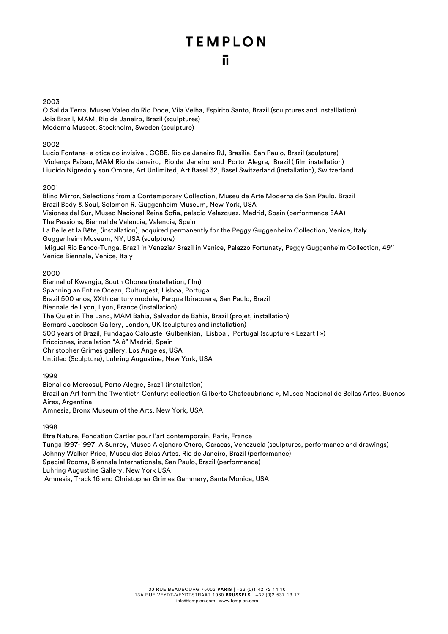### 2003

O Sal da Terra, Museo Valeo do Rio Doce, Vila Velha, Espirito Santo, Brazil (sculptures and installlation) Joia Brazil, MAM, Rio de Janeiro, Brazil (sculptures) Moderna Museet, Stockholm, Sweden (sculpture)

## 2002

Lucio Fontana- a otica do invisivel, CCBB, Rio de Janeiro RJ, Brasilia, San Paulo, Brazil (sculpture) Violença Paixao, MAM Rio de Janeiro, Rio de Janeiro and Porto Alegre, Brazil ( film installation) Liucido Nigredo y son Ombre, Art Unlimited, Art Basel 32, Basel Switzerland (installation), Switzerland

### 2001

Blind Mirror, Selections from a Contemporary Collection, Museu de Arte Moderna de San Paulo, Brazil Brazil Body & Soul, Solomon R. Guggenheim Museum, New York, USA Visiones del Sur, Museo Nacional Reina Sofia, palacio Velazquez, Madrid, Spain (performance EAA) The Passions, Biennal de Valencia, Valencia, Spain La Belle et la Bête, (installation), acquired permanently for the Peggy Guggenheim Collection, Venice, Italy Guggenheim Museum, NY, USA (sculpture) Miguel Rio Banco-Tunga, Brazil in Venezia/ Brazil in Venice, Palazzo Fortunaty, Peggy Guggenheim Collection, 49th Venice Biennale, Venice, Italy

## 2000

Biennal of Kwangju, South Chorea (installation, film) Spanning an Entire Ocean, Culturgest, Lisboa, Portugal Brazil 500 anos, XXth century module, Parque Ibirapuera, San Paulo, Brazil Biennale de Lyon, Lyon, France (installation) The Quiet in The Land, MAM Bahia, Salvador de Bahia, Brazil (projet, installation) Bernard Jacobson Gallery, London, UK (sculptures and installation) 500 years of Brazil, Fundaçao Calouste Gulbenkian, Lisboa , Portugal (scupture « Lezart I ») Fricciones, installation "A ô" Madrid, Spain Christopher Grimes gallery, Los Angeles, USA Untitled (Sculpture), Luhring Augustine, New York, USA

## 1999

Bienal do Mercosul, Porto Alegre, Brazil (installation) Brazilian Art form the Twentieth Century: collection Gilberto Chateaubriand », Museo Nacional de Bellas Artes, Buenos Aires, Argentina Amnesia, Bronx Museum of the Arts, New York, USA

## 1998

Etre Nature, Fondation Cartier pour l'art contemporain, Paris, France Tunga 1997-1997: A Sunrey, Museo Alejandro Otero, Caracas, Venezuela (sculptures, performance and drawings) Johnny Walker Price, Museu das Belas Artes, Rio de Janeiro, Brazil (performance) Special Rooms, Biennale Internationale, San Paulo, Brazil (performance) Luhring Augustine Gallery, New York USA Amnesia, Track 16 and Christopher Grimes Gammery, Santa Monica, USA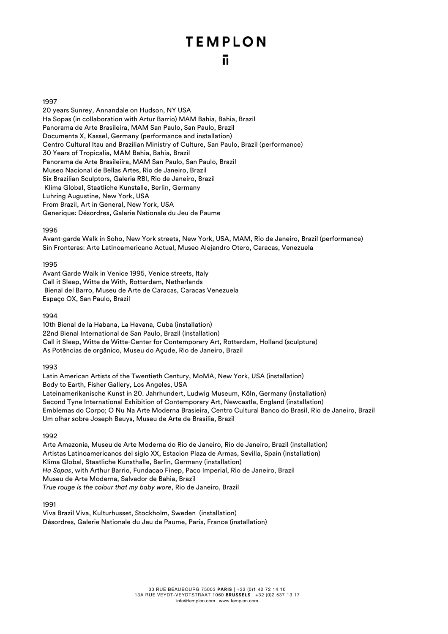#### 1997

20 years Sunrey, Annandale on Hudson, NY USA Ha Sopas (in collaboration with Artur Barrio) MAM Bahia, Bahia, Brazil Panorama de Arte Brasileira, MAM San Paulo, San Paulo, Brazil Documenta X, Kassel, Germany (performance and installation) Centro Cultural Itau and Brazilian Ministry of Culture, San Paulo, Brazil (performance) 30 Years of Tropicalia, MAM Bahia, Bahia, Brazil Panorama de Arte Brasileiira, MAM San Paulo, San Paulo, Brazil Museo Nacional de Bellas Artes, Rio de Janeiro, Brazil Six Brazilian Sculptors, Galeria RBI, Rio de Janeiro, Brazil Klima Global, Staatliche Kunstalle, Berlin, Germany Luhring Augustine, New York, USA From Brazil, Art in General, New York, USA Generique: Désordres, Galerie Nationale du Jeu de Paume

#### 1996

Avant-garde Walk in Soho, New York streets, New York, USA, MAM, Rio de Janeiro, Brazil (performance) Sin Fronteras: Arte Latinoamericano Actual, Museo Alejandro Otero, Caracas, Venezuela

#### 1995

Avant Garde Walk in Venice 1995, Venice streets, Italy Call it Sleep, Witte de With, Rotterdam, Netherlands Bienal del Barro, Museu de Arte de Caracas, Caracas Venezuela Espaço OX, San Paulo, Brazil

#### 1994

10th Bienal de la Habana, La Havana, Cuba (installation) 22nd Bienal International de San Paulo, Brazil (installation) Call it Sleep, Witte de Witte-Center for Contemporary Art, Rotterdam, Holland (sculpture) As Potências de orgânico, Museu do Açude, Rio de Janeiro, Brazil

### 1993

Latin American Artists of the Twentieth Century, MoMA, New York, USA (installation) Body to Earth, Fisher Gallery, Los Angeles, USA Lateinamerikanische Kunst in 20. Jahrhundert, Ludwig Museum, Köln, Germany (installation) Second Tyne International Exhibition of Contemporary Art, Newcastle, England (installation) Emblemas do Corpo; O Nu Na Arte Moderna Brasieira, Centro Cultural Banco do Brasil, Rio de Janeiro, Brazil Um olhar sobre Joseph Beuys, Museu de Arte de Brasilia, Brazil

### 1992

Arte Amazonia, Museu de Arte Moderna do Rio de Janeiro, Rio de Janeiro, Brazil (installation) Artistas Latinoamericanos del siglo XX, Estacion Plaza de Armas, Sevilla, Spain (installation) Klima Global, Staatliche Kunsthalle, Berlin, Germany (installation) *Ha Sopas*, with Arthur Barrio, Fundacao Finep, Paco Imperial, Rio de Janeiro, Brazil Museu de Arte Moderna, Salvador de Bahia, Brazil *True rouge is the colour that my baby wore*, Rio de Janeiro, Brazil

### 1991

Viva Brazil Viva, Kulturhusset, Stockholm, Sweden (installation) Désordres, Galerie Nationale du Jeu de Paume, Paris, France (installation)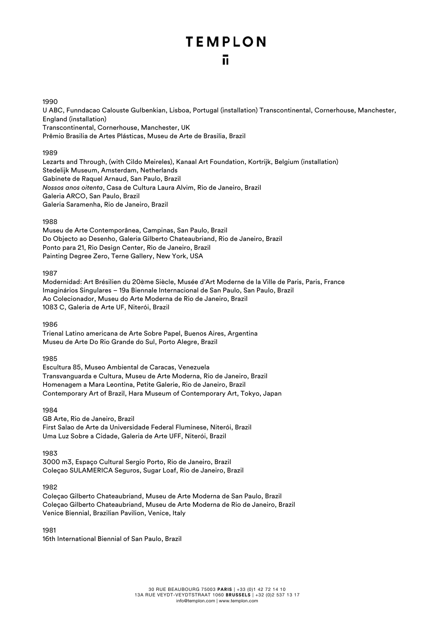#### 1990

U ABC, Funndacao Calouste Gulbenkian, Lisboa, Portugal (installation) Transcontinental, Cornerhouse, Manchester, England (installation) Transcontinental, Cornerhouse, Manchester, UK Prêmio Brasilia de Artes Plásticas, Museu de Arte de Brasilia, Brazil

#### 1989

Lezarts and Through, (with Cildo Meireles), Kanaal Art Foundation, Kortrijk, Belgium (installation) Stedelijk Museum, Amsterdam, Netherlands Gabinete de Raquel Arnaud, San Paulo, Brazil *Nossos anos oitenta*, Casa de Cultura Laura Alvim, Rio de Janeiro, Brazil Galeria ARCO, San Paulo, Brazil Galeria Saramenha, Rio de Janeiro, Brazil

### 1988

Museu de Arte Contemporânea, Campinas, San Paulo, Brazil Do Objecto ao Desenho, Galeria Gilberto Chateaubriand, Rio de Janeiro, Brazil Ponto para 21, Rio Design Center, Rio de Janeiro, Brazil Painting Degree Zero, Terne Gallery, New York, USA

1987

Modernidad: Art Brésilien du 20ème Siècle, Musée d'Art Moderne de la Ville de Paris, Paris, France Imaginários Singulares – 19a Biennale Internacional de San Paulo, San Paulo, Brazil Ao Colecionador, Museu do Arte Moderna de Rio de Janeiro, Brazil 1083 C, Galeria de Arte UF, Niterói, Brazil

1986

Trienal Latino americana de Arte Sobre Papel, Buenos Aires, Argentina Museu de Arte Do Rio Grande do Sul, Porto Alegre, Brazil

1985

Escultura 85, Museo Ambiental de Caracas, Venezuela Transvanguarda e Cultura, Museu de Arte Moderna, Rio de Janeiro, Brazil Homenagem a Mara Leontina, Petite Galerie, Rio de Janeiro, Brazil Contemporary Art of Brazil, Hara Museum of Contemporary Art, Tokyo, Japan

1984

GB Arte, Rio de Janeiro, Brazil First Salao de Arte da Universidade Federal Fluminese, Niterói, Brazil Uma Luz Sobre a Cidade, Galeria de Arte UFF, Niterói, Brazil

1983

3000 m3, Espaço Cultural Sergio Porto, Rio de Janeiro, Brazil Coleçao SULAMERICA Seguros, Sugar Loaf, Rio de Janeiro, Brazil

1982

Coleçao Gilberto Chateaubriand, Museu de Arte Moderna de San Paulo, Brazil Coleçao Gilberto Chateaubriand, Museu de Arte Moderna de Rio de Janeiro, Brazil Venice Biennial, Brazilian Pavilion, Venice, Italy

1981 16th International Biennial of San Paulo, Brazil